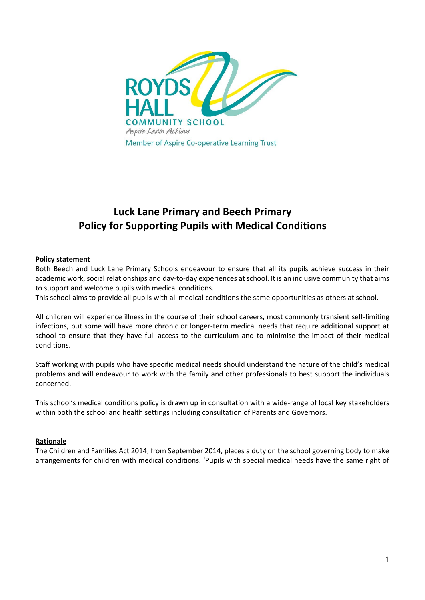

# **Luck Lane Primary and Beech Primary Policy for Supporting Pupils with Medical Conditions**

#### **Policy statement**

Both Beech and Luck Lane Primary Schools endeavour to ensure that all its pupils achieve success in their academic work, social relationships and day-to-day experiences at school. It is an inclusive community that aims to support and welcome pupils with medical conditions.

This school aims to provide all pupils with all medical conditions the same opportunities as others at school.

All children will experience illness in the course of their school careers, most commonly transient self-limiting infections, but some will have more chronic or longer-term medical needs that require additional support at school to ensure that they have full access to the curriculum and to minimise the impact of their medical conditions.

Staff working with pupils who have specific medical needs should understand the nature of the child's medical problems and will endeavour to work with the family and other professionals to best support the individuals concerned.

This school's medical conditions policy is drawn up in consultation with a wide-range of local key stakeholders within both the school and health settings including consultation of Parents and Governors.

#### **Rationale**

The Children and Families Act 2014, from September 2014, places a duty on the school governing body to make arrangements for children with medical conditions. 'Pupils with special medical needs have the same right of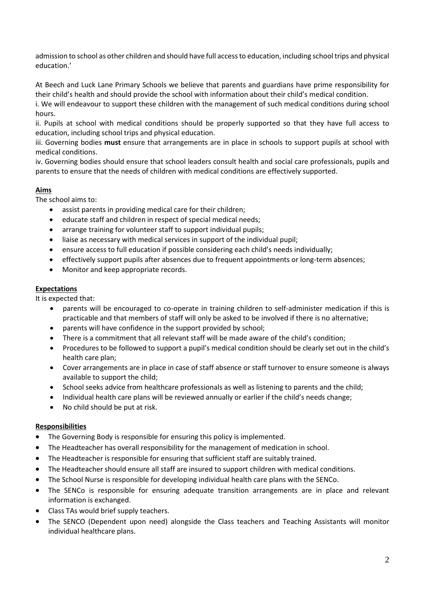admission to school as other children and should have full access to education, including school trips and physical education.'

At Beech and Luck Lane Primary Schools we believe that parents and guardians have prime responsibility for their child's health and should provide the school with information about their child's medical condition.

i. We will endeavour to support these children with the management of such medical conditions during school hours.

ii. Pupils at school with medical conditions should be properly supported so that they have full access to education, including school trips and physical education.

iii. Governing bodies **must** ensure that arrangements are in place in schools to support pupils at school with medical conditions.

iv. Governing bodies should ensure that school leaders consult health and social care professionals, pupils and parents to ensure that the needs of children with medical conditions are effectively supported.

## **Aims**

The school aims to:

- assist parents in providing medical care for their children;
- educate staff and children in respect of special medical needs;
- arrange training for volunteer staff to support individual pupils;
- liaise as necessary with medical services in support of the individual pupil;
- ensure access to full education if possible considering each child's needs individually;
- effectively support pupils after absences due to frequent appointments or long-term absences;
- Monitor and keep appropriate records.

## **Expectations**

It is expected that:

- parents will be encouraged to co-operate in training children to self-administer medication if this is practicable and that members of staff will only be asked to be involved if there is no alternative;
- parents will have confidence in the support provided by school;
- There is a commitment that all relevant staff will be made aware of the child's condition;
- Procedures to be followed to support a pupil's medical condition should be clearly set out in the child's health care plan;
- Cover arrangements are in place in case of staff absence or staff turnover to ensure someone is always available to support the child;
- School seeks advice from healthcare professionals as well as listening to parents and the child;
- Individual health care plans will be reviewed annually or earlier if the child's needs change;
- No child should be put at risk.

#### **Responsibilities**

- The Governing Body is responsible for ensuring this policy is implemented.
- The Headteacher has overall responsibility for the management of medication in school.
- The Headteacher is responsible for ensuring that sufficient staff are suitably trained.
- The Headteacher should ensure all staff are insured to support children with medical conditions.
- The School Nurse is responsible for developing individual health care plans with the SENCo.
- The SENCo is responsible for ensuring adequate transition arrangements are in place and relevant information is exchanged.
- Class TAs would brief supply teachers.
- The SENCO (Dependent upon need) alongside the Class teachers and Teaching Assistants will monitor individual healthcare plans.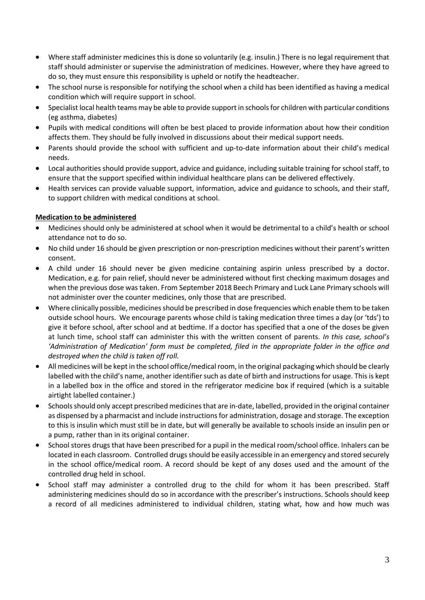- Where staff administer medicines this is done so voluntarily (e.g. insulin.) There is no legal requirement that staff should administer or supervise the administration of medicines. However, where they have agreed to do so, they must ensure this responsibility is upheld or notify the headteacher.
- The school nurse is responsible for notifying the school when a child has been identified as having a medical condition which will require support in school.
- Specialist local health teams may be able to provide support in schools for children with particular conditions (eg asthma, diabetes)
- Pupils with medical conditions will often be best placed to provide information about how their condition affects them. They should be fully involved in discussions about their medical support needs.
- Parents should provide the school with sufficient and up-to-date information about their child's medical needs.
- Local authorities should provide support, advice and guidance, including suitable training for school staff, to ensure that the support specified within individual healthcare plans can be delivered effectively.
- Health services can provide valuable support, information, advice and guidance to schools, and their staff, to support children with medical conditions at school.

## **Medication to be administered**

- Medicines should only be administered at school when it would be detrimental to a child's health or school attendance not to do so.
- No child under 16 should be given prescription or non-prescription medicines without their parent's written consent.
- A child under 16 should never be given medicine containing aspirin unless prescribed by a doctor. Medication, e.g. for pain relief, should never be administered without first checking maximum dosages and when the previous dose was taken. From September 2018 Beech Primary and Luck Lane Primary schools will not administer over the counter medicines, only those that are prescribed.
- Where clinically possible, medicines should be prescribed in dose frequencies which enable them to be taken outside school hours. We encourage parents whose child is taking medication three times a day (or 'tds') to give it before school, after school and at bedtime. If a doctor has specified that a one of the doses be given at lunch time, school staff can administer this with the written consent of parents. *In this case, school's 'Administration of Medication' form must be completed, filed in the appropriate folder in the office and destroyed when the child is taken off roll.*
- All medicines will be kept in the school office/medical room, in the original packaging which should be clearly labelled with the child's name, another identifier such as date of birth and instructions for usage. This is kept in a labelled box in the office and stored in the refrigerator medicine box if required (which is a suitable airtight labelled container.)
- Schools should only accept prescribed medicines that are in-date, labelled, provided in the original container as dispensed by a pharmacist and include instructions for administration, dosage and storage. The exception to this is insulin which must still be in date, but will generally be available to schools inside an insulin pen or a pump, rather than in its original container.
- School stores drugs that have been prescribed for a pupil in the medical room/school office. Inhalers can be located in each classroom. Controlled drugs should be easily accessible in an emergency and stored securely in the school office/medical room. A record should be kept of any doses used and the amount of the controlled drug held in school.
- School staff may administer a controlled drug to the child for whom it has been prescribed. Staff administering medicines should do so in accordance with the prescriber's instructions. Schools should keep a record of all medicines administered to individual children, stating what, how and how much was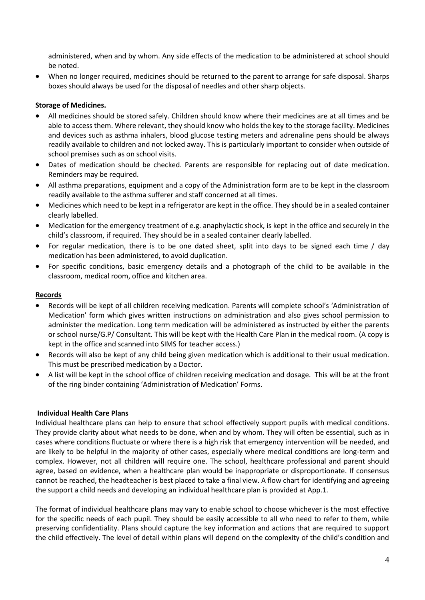administered, when and by whom. Any side effects of the medication to be administered at school should be noted.

 When no longer required, medicines should be returned to the parent to arrange for safe disposal. Sharps boxes should always be used for the disposal of needles and other sharp objects.

## **Storage of Medicines.**

- All medicines should be stored safely. Children should know where their medicines are at all times and be able to access them. Where relevant, they should know who holds the key to the storage facility. Medicines and devices such as asthma inhalers, blood glucose testing meters and adrenaline pens should be always readily available to children and not locked away. This is particularly important to consider when outside of school premises such as on school visits.
- Dates of medication should be checked. Parents are responsible for replacing out of date medication. Reminders may be required.
- All asthma preparations, equipment and a copy of the Administration form are to be kept in the classroom readily available to the asthma sufferer and staff concerned at all times.
- Medicines which need to be kept in a refrigerator are kept in the office. They should be in a sealed container clearly labelled.
- Medication for the emergency treatment of e.g. anaphylactic shock, is kept in the office and securely in the child's classroom, if required. They should be in a sealed container clearly labelled.
- For regular medication, there is to be one dated sheet, split into days to be signed each time / day medication has been administered, to avoid duplication.
- For specific conditions, basic emergency details and a photograph of the child to be available in the classroom, medical room, office and kitchen area.

## **Records**

- Records will be kept of all children receiving medication. Parents will complete school's 'Administration of Medication' form which gives written instructions on administration and also gives school permission to administer the medication. Long term medication will be administered as instructed by either the parents or school nurse/G.P/ Consultant. This will be kept with the Health Care Plan in the medical room. (A copy is kept in the office and scanned into SIMS for teacher access.)
- Records will also be kept of any child being given medication which is additional to their usual medication. This must be prescribed medication by a Doctor.
- A list will be kept in the school office of children receiving medication and dosage. This will be at the front of the ring binder containing 'Administration of Medication' Forms.

## **Individual Health Care Plans**

Individual healthcare plans can help to ensure that school effectively support pupils with medical conditions. They provide clarity about what needs to be done, when and by whom. They will often be essential, such as in cases where conditions fluctuate or where there is a high risk that emergency intervention will be needed, and are likely to be helpful in the majority of other cases, especially where medical conditions are long-term and complex. However, not all children will require one. The school, healthcare professional and parent should agree, based on evidence, when a healthcare plan would be inappropriate or disproportionate. If consensus cannot be reached, the headteacher is best placed to take a final view. A flow chart for identifying and agreeing the support a child needs and developing an individual healthcare plan is provided at App.1.

The format of individual healthcare plans may vary to enable school to choose whichever is the most effective for the specific needs of each pupil. They should be easily accessible to all who need to refer to them, while preserving confidentiality. Plans should capture the key information and actions that are required to support the child effectively. The level of detail within plans will depend on the complexity of the child's condition and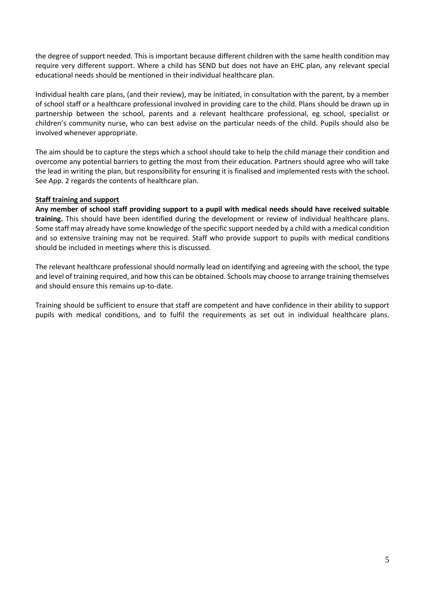the degree of support needed. This is important because different children with the same health condition may require very different support. Where a child has SEND but does not have an EHC plan, any relevant special educational needs should be mentioned in their individual healthcare plan.

Individual health care plans, (and their review), may be initiated, in consultation with the parent, by a member of school staff or a healthcare professional involved in providing care to the child. Plans should be drawn up in partnership between the school, parents and a relevant healthcare professional, eg school, specialist or children's community nurse, who can best advise on the particular needs of the child. Pupils should also be involved whenever appropriate.

The aim should be to capture the steps which a school should take to help the child manage their condition and overcome any potential barriers to getting the most from their education. Partners should agree who will take the lead in writing the plan, but responsibility for ensuring it is finalised and implemented rests with the school. See App. 2 regards the contents of healthcare plan.

## **Staff training and support**

**Any member of school staff providing support to a pupil with medical needs should have received suitable training.** This should have been identified during the development or review of individual healthcare plans. Some staff may already have some knowledge of the specific support needed by a child with a medical condition and so extensive training may not be required. Staff who provide support to pupils with medical conditions should be included in meetings where this is discussed.

The relevant healthcare professional should normally lead on identifying and agreeing with the school, the type and level of training required, and how this can be obtained. Schools may choose to arrange training themselves and should ensure this remains up-to-date.

Training should be sufficient to ensure that staff are competent and have confidence in their ability to support pupils with medical conditions, and to fulfil the requirements as set out in individual healthcare plans.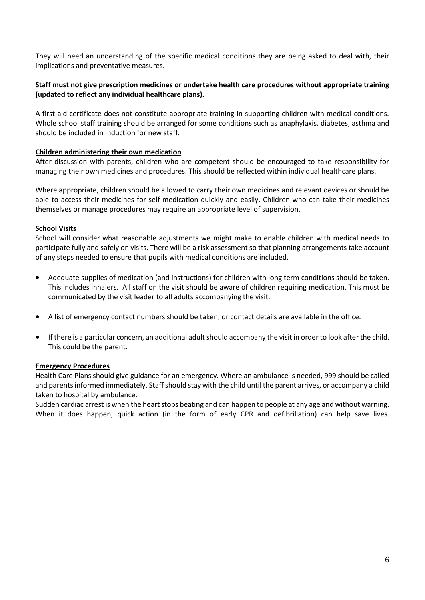They will need an understanding of the specific medical conditions they are being asked to deal with, their implications and preventative measures.

## **Staff must not give prescription medicines or undertake health care procedures without appropriate training (updated to reflect any individual healthcare plans).**

A first-aid certificate does not constitute appropriate training in supporting children with medical conditions. Whole school staff training should be arranged for some conditions such as anaphylaxis, diabetes, asthma and should be included in induction for new staff.

## **Children administering their own medication**

After discussion with parents, children who are competent should be encouraged to take responsibility for managing their own medicines and procedures. This should be reflected within individual healthcare plans.

Where appropriate, children should be allowed to carry their own medicines and relevant devices or should be able to access their medicines for self-medication quickly and easily. Children who can take their medicines themselves or manage procedures may require an appropriate level of supervision.

## **School Visits**

School will consider what reasonable adjustments we might make to enable children with medical needs to participate fully and safely on visits. There will be a risk assessment so that planning arrangements take account of any steps needed to ensure that pupils with medical conditions are included.

- Adequate supplies of medication (and instructions) for children with long term conditions should be taken. This includes inhalers. All staff on the visit should be aware of children requiring medication. This must be communicated by the visit leader to all adults accompanying the visit.
- A list of emergency contact numbers should be taken, or contact details are available in the office.
- If there is a particular concern, an additional adult should accompany the visit in order to look after the child. This could be the parent.

#### **Emergency Procedures**

Health Care Plans should give guidance for an emergency. Where an ambulance is needed, 999 should be called and parents informed immediately. Staff should stay with the child until the parent arrives, or accompany a child taken to hospital by ambulance.

Sudden cardiac arrest is when the heart stops beating and can happen to people at any age and without warning. When it does happen, quick action (in the form of early CPR and defibrillation) can help save lives.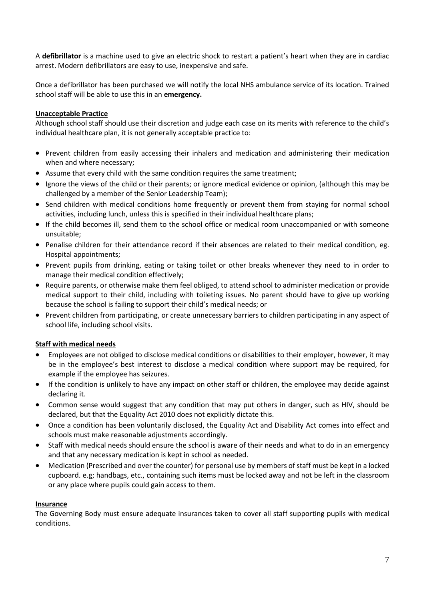A **defibrillator** is a machine used to give an electric shock to restart a patient's heart when they are in cardiac arrest. Modern defibrillators are easy to use, inexpensive and safe.

Once a defibrillator has been purchased we will notify the local NHS ambulance service of its location. Trained school staff will be able to use this in an **emergency.**

## **Unacceptable Practice**

Although school staff should use their discretion and judge each case on its merits with reference to the child's individual healthcare plan, it is not generally acceptable practice to:

- Prevent children from easily accessing their inhalers and medication and administering their medication when and where necessary;
- Assume that every child with the same condition requires the same treatment;
- Ignore the views of the child or their parents; or ignore medical evidence or opinion, (although this may be challenged by a member of the Senior Leadership Team);
- Send children with medical conditions home frequently or prevent them from staying for normal school activities, including lunch, unless this is specified in their individual healthcare plans;
- If the child becomes ill, send them to the school office or medical room unaccompanied or with someone unsuitable;
- Penalise children for their attendance record if their absences are related to their medical condition, eg. Hospital appointments;
- Prevent pupils from drinking, eating or taking toilet or other breaks whenever they need to in order to manage their medical condition effectively;
- Require parents, or otherwise make them feel obliged, to attend school to administer medication or provide medical support to their child, including with toileting issues. No parent should have to give up working because the school is failing to support their child's medical needs; or
- Prevent children from participating, or create unnecessary barriers to children participating in any aspect of school life, including school visits.

#### **Staff with medical needs**

- Employees are not obliged to disclose medical conditions or disabilities to their employer, however, it may be in the employee's best interest to disclose a medical condition where support may be required, for example if the employee has seizures.
- If the condition is unlikely to have any impact on other staff or children, the employee may decide against declaring it.
- Common sense would suggest that any condition that may put others in danger, such as HIV, should be declared, but that the Equality Act 2010 does not explicitly dictate this.
- Once a condition has been voluntarily disclosed, the Equality Act and Disability Act comes into effect and schools must make reasonable adjustments accordingly.
- Staff with medical needs should ensure the school is aware of their needs and what to do in an emergency and that any necessary medication is kept in school as needed.
- Medication (Prescribed and over the counter) for personal use by members of staff must be kept in a locked cupboard. e.g; handbags, etc., containing such items must be locked away and not be left in the classroom or any place where pupils could gain access to them.

#### **Insurance**

The Governing Body must ensure adequate insurances taken to cover all staff supporting pupils with medical conditions.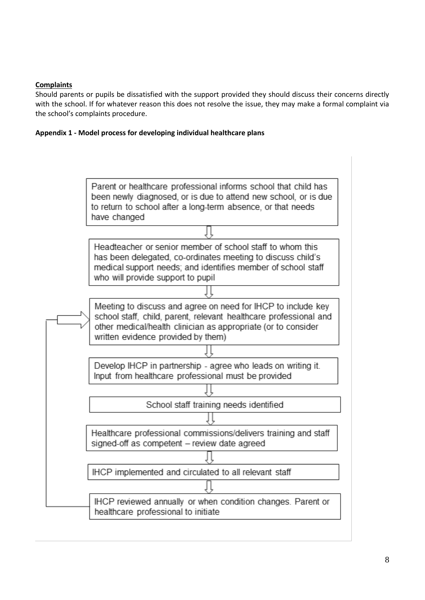## **Complaints**

Should parents or pupils be dissatisfied with the support provided they should discuss their concerns directly with the school. If for whatever reason this does not resolve the issue, they may make a formal complaint via the school's complaints procedure.

#### **Appendix 1 - Model process for developing individual healthcare plans**

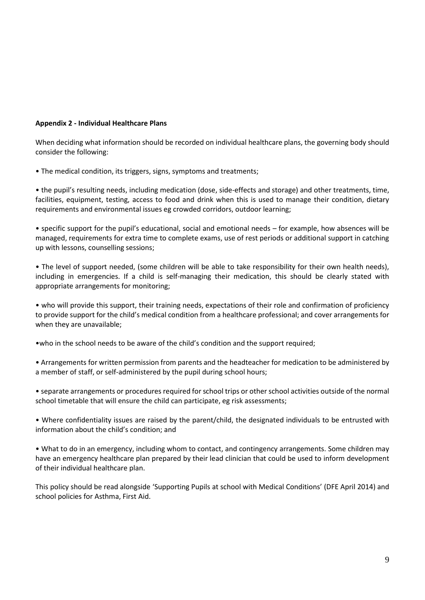## **Appendix 2 - Individual Healthcare Plans**

When deciding what information should be recorded on individual healthcare plans, the governing body should consider the following:

• The medical condition, its triggers, signs, symptoms and treatments;

• the pupil's resulting needs, including medication (dose, side-effects and storage) and other treatments, time, facilities, equipment, testing, access to food and drink when this is used to manage their condition, dietary requirements and environmental issues eg crowded corridors, outdoor learning;

• specific support for the pupil's educational, social and emotional needs – for example, how absences will be managed, requirements for extra time to complete exams, use of rest periods or additional support in catching up with lessons, counselling sessions;

• The level of support needed, (some children will be able to take responsibility for their own health needs), including in emergencies. If a child is self-managing their medication, this should be clearly stated with appropriate arrangements for monitoring;

• who will provide this support, their training needs, expectations of their role and confirmation of proficiency to provide support for the child's medical condition from a healthcare professional; and cover arrangements for when they are unavailable;

•who in the school needs to be aware of the child's condition and the support required;

• Arrangements for written permission from parents and the headteacher for medication to be administered by a member of staff, or self-administered by the pupil during school hours;

• separate arrangements or procedures required for school trips or other school activities outside of the normal school timetable that will ensure the child can participate, eg risk assessments;

• Where confidentiality issues are raised by the parent/child, the designated individuals to be entrusted with information about the child's condition; and

• What to do in an emergency, including whom to contact, and contingency arrangements. Some children may have an emergency healthcare plan prepared by their lead clinician that could be used to inform development of their individual healthcare plan.

This policy should be read alongside 'Supporting Pupils at school with Medical Conditions' (DFE April 2014) and school policies for Asthma, First Aid.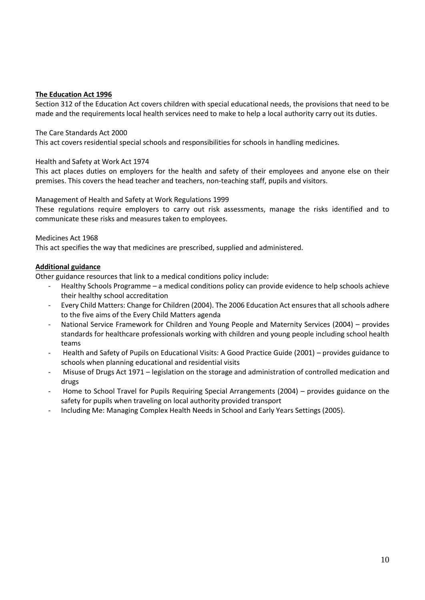## **The Education Act 1996**

Section 312 of the Education Act covers children with special educational needs, the provisions that need to be made and the requirements local health services need to make to help a local authority carry out its duties.

### The Care Standards Act 2000

This act covers residential special schools and responsibilities for schools in handling medicines.

## Health and Safety at Work Act 1974

This act places duties on employers for the health and safety of their employees and anyone else on their premises. This covers the head teacher and teachers, non-teaching staff, pupils and visitors.

## Management of Health and Safety at Work Regulations 1999

These regulations require employers to carry out risk assessments, manage the risks identified and to communicate these risks and measures taken to employees.

## Medicines Act 1968

This act specifies the way that medicines are prescribed, supplied and administered.

## **Additional guidance**

Other guidance resources that link to a medical conditions policy include:

- Healthy Schools Programme a medical conditions policy can provide evidence to help schools achieve their healthy school accreditation
- Every Child Matters: Change for Children (2004). The 2006 Education Act ensures that all schools adhere to the five aims of the Every Child Matters agenda
- National Service Framework for Children and Young People and Maternity Services (2004) provides standards for healthcare professionals working with children and young people including school health teams
- Health and Safety of Pupils on Educational Visits: A Good Practice Guide (2001) provides guidance to schools when planning educational and residential visits
- Misuse of Drugs Act 1971 legislation on the storage and administration of controlled medication and drugs
- Home to School Travel for Pupils Requiring Special Arrangements (2004) provides guidance on the safety for pupils when traveling on local authority provided transport
- Including Me: Managing Complex Health Needs in School and Early Years Settings (2005).